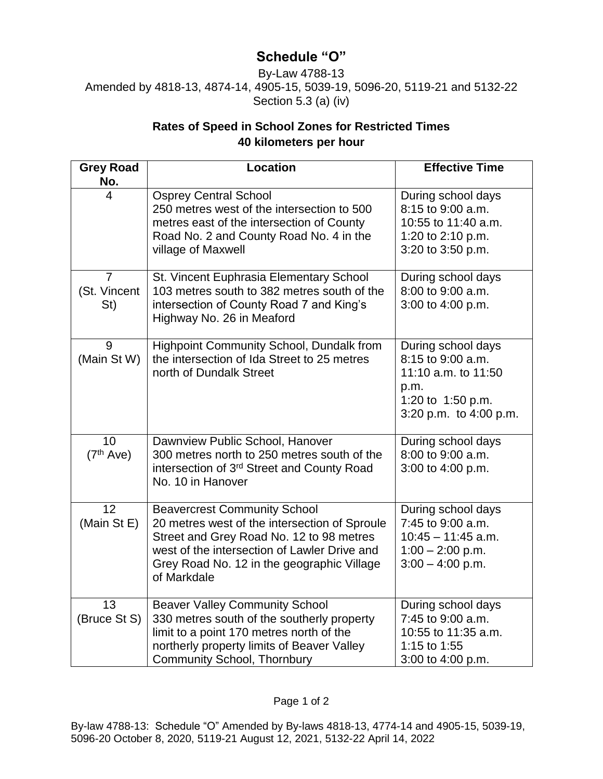## **Schedule "O"**

By-Law 4788-13 Amended by 4818-13, 4874-14, 4905-15, 5039-19, 5096-20, 5119-21 and 5132-22 Section 5.3 (a) (iv)

## **Rates of Speed in School Zones for Restricted Times 40 kilometers per hour**

| <b>Grey Road</b><br>No.               | <b>Location</b>                                                                                                                                                                                                                               | <b>Effective Time</b>                                                                                                 |
|---------------------------------------|-----------------------------------------------------------------------------------------------------------------------------------------------------------------------------------------------------------------------------------------------|-----------------------------------------------------------------------------------------------------------------------|
| 4                                     | <b>Osprey Central School</b><br>250 metres west of the intersection to 500<br>metres east of the intersection of County<br>Road No. 2 and County Road No. 4 in the<br>village of Maxwell                                                      | During school days<br>8:15 to 9:00 a.m.<br>10:55 to 11:40 a.m.<br>1:20 to 2:10 p.m.<br>3:20 to 3:50 p.m.              |
| $\overline{7}$<br>(St. Vincent<br>St) | St. Vincent Euphrasia Elementary School<br>103 metres south to 382 metres south of the<br>intersection of County Road 7 and King's<br>Highway No. 26 in Meaford                                                                               | During school days<br>8:00 to 9:00 a.m.<br>3:00 to 4:00 p.m.                                                          |
| 9<br>(Main St W)                      | Highpoint Community School, Dundalk from<br>the intersection of Ida Street to 25 metres<br>north of Dundalk Street                                                                                                                            | During school days<br>8:15 to 9:00 a.m.<br>11:10 a.m. to 11:50<br>p.m.<br>1:20 to 1:50 p.m.<br>3:20 p.m. to 4:00 p.m. |
| 10<br>(7 <sup>th</sup> Ave)           | Dawnview Public School, Hanover<br>300 metres north to 250 metres south of the<br>intersection of 3rd Street and County Road<br>No. 10 in Hanover                                                                                             | During school days<br>8:00 to 9:00 a.m.<br>3:00 to 4:00 p.m.                                                          |
| 12<br>(Main St E)                     | <b>Beavercrest Community School</b><br>20 metres west of the intersection of Sproule<br>Street and Grey Road No. 12 to 98 metres<br>west of the intersection of Lawler Drive and<br>Grey Road No. 12 in the geographic Village<br>of Markdale | During school days<br>7:45 to 9:00 a.m.<br>$10:45 - 11:45$ a.m.<br>$1:00 - 2:00$ p.m.<br>$3:00 - 4:00$ p.m.           |
| $\overline{13}$<br>(Bruce St S)       | <b>Beaver Valley Community School</b><br>330 metres south of the southerly property<br>limit to a point 170 metres north of the<br>northerly property limits of Beaver Valley<br><b>Community School, Thornbury</b>                           | During school days<br>7:45 to 9:00 a.m.<br>10:55 to 11:35 a.m.<br>1:15 to 1:55<br>3:00 to 4:00 p.m.                   |